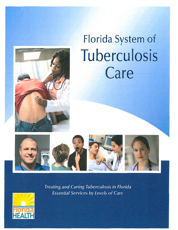

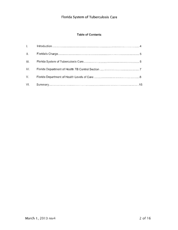## **Table of Contents**

| Letters in     |  |
|----------------|--|
| $\Pi$ , $\Box$ |  |
| III.           |  |
| IV.            |  |
| V.             |  |
|                |  |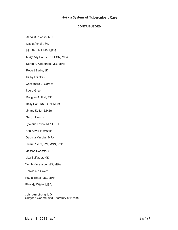## **CONTRIBUTORS**

Alina M. Alonso, MD

David Ashkin, MD

Kim Barnhill, MS, MPH

Mary Kay Burns, RN, BSN, MBA

Karen A. Chapman, MD, MPH

Robert Eadie, JD

Kathy Franklin

Cassandra L. Garber

Laura Green

Douglas A. Holt, MD

Holly Holt, RN, BSN, MSM

Jimmy Keller, DHSc

Gary J Landry

Jylmarie Lewis, MPH, CHP

Ann Rowe-McMullen

Georgia Murphy, MFA

Lillian Rivera, RN, MSN, PhD.

Melissa Roberts, LPN

Max Salfinger, MD

Bonita Sorenson, MD, MBA

Denishia K Sword

Paula Thaqi, MD, MPH

Rhonda White, MBA

John Armstrong, MD Surgeon General and Secretary of Health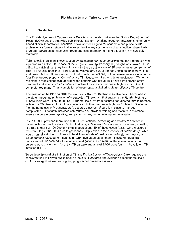#### I. Introduction

The Florida System of Tuberculosis Care is a partnership between the Florida Department of Health (DOH) and the statewide public health system . Working together, physicians, community based clinics, laboratories, hospitals, social services agencies, academia and public health professionals form a network that assures the five key components of an effective tuberculosis program (surveillance, diagnosis, treatment, case management and education) are available statewide.

Tuberculosis (TB) is an illness caused by Mycobacterium tuberculosis germs put into the air when a person with active TB disease of the lungs or throat (pulmonary TB) coughs or sneezes. TB is difficult to catch since it requires close contact to an active case of TB over an extended period of time. TB usually attacks the lungs, yet may infect any part of the body such as the kidney, spine and brain. Active TB disease can be treated with medications, but can cause severe illness or be fatal if not treated properly. Cure of active TB disease requires long-term medication. TB germs resistant to medications can emerge when patients with active TB do not complete the entire treatment and when infected contacts to active TB cases or persons at high risk for TB fail to complete treatment. Thus, completion of treatment is a vital principle for effective TB control.

The mission of the Florida DOH Tuberculosis Control Section is to eliminate tuberculosis in the state through administration of a statewide TB program that supports the Florida System of Tuberculosis Care. The Florida DOH Tuberculosis Program assures coordinated care to persons with active TB disease, their close contacts and other persons at high risk for latent TB infection (i.e. the homeless, HIV patients, etc.); assures a system of care is in place to manage complicated TB patients; provides community and provider training and technical assistance; assures accurate case reporting; and performs program monitoring and evaluation.

In 2011 , DOH provided more than 300,000 educational, screening and treatment services in communities across the state. During that time, 753 active TB cases were diagnosed, equating to a rate of four per 100,000 of Florida's population. Six of these cases (0.8%) were multidrugresistant TB (i.e. the TB is able to grow and multiply even in the presence of certain drugs, which would normally kill them). Through the diligent efforts of healthcare professionals, more than 4,500 persons exposed to these cases were evaluated as contacts. These numbers are consistent with benchmarks for contact investigations. As a result of these evaluations, 54 persons were diagnosed with active TB disease and almost 1,000 were found to have latent TB infection (LTBI).

To achieve the goal of elimination of TB, the Florida System of Tuberculosis Care requires the consistent use of proven public health practices, standards and evidence-based tuberculosis control strategies as well as ongoing program performance evaluation.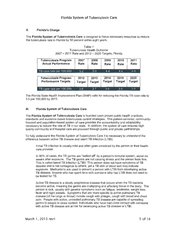## II. Florida's Charge

The Florida System of Tuberculosis Care is designed to focus necessary resources to reduce the tuberculosis rate in Florida by 50 percent within eight years.

| <b>Tuberculosis Program</b> | 2007          | 2008   | 2009          | 2010          | 2011          |
|-----------------------------|---------------|--------|---------------|---------------|---------------|
| <b>Actual Performance</b>   | Rate          | Rate   | Rate          | Rate          | Rate          |
| TB case rate per 100,000    | 5.2           | 5.0    | 4.4           | 4.4           | 4.0           |
| <b>Tuberculosis Program</b> | 2012          | 2013   | 2014          | 2015          | 2020          |
| <b>Performance Targets</b>  | <b>Target</b> | Target | <b>Target</b> | <b>Target</b> | <b>Target</b> |
| TB case rate per 100,000    | 3.8           | 3.7    | 3.6           | 3.5           | 2.0           |

Table 1 Tuberculosis Health Outcome 2007- 2011 Rate and 2012- 2020 Targets, Florida

The Florida State Health Improvement Plan (SHIP) calls for reducing the Florida TB case rate to 3.5 per 100,000 by 2015.

## Ill. Florida System of Tuberculosis Care

The Florida System of Tuberculosis Care is founded upon proven public health practices, standards and evidence-based tuberculosis control strategies. This patient-centered, communityfocused and population-based system of care provides the accountability and adaptability necessary to reduce the rate of TB in our state. In addition, the system of care ensures high quality community and hospital care are provided through public and private partnerships.

To fully understand the Florida System of Tuberculosis Care it is necessary to understand the difference between active TB disease and latent TB infection (LTBI).

Initial TB infection is usually mild and often goes unnoticed by the person or their health care provider.

In 90% of cases, the TB germs are "walled off' by a person's immune system, about six weeks after exposure. The TB germs are not causing illness and the person feels fine. This is called latent TB infection (LTBI). This person does not have symptoms of TB disease and is not contagious to others, yet a TB skin or blood test may indicate exposure. Medications are used to prevent a person with LTBI from developing active TB disease. Anyone who has spent time with someone who has L TBI does not need to be tested for TB.

Active TB disease is a slowly progressive disease that occurs when the TB bacteria become active, meaning the germs are multiplying and affecting tissue in the body. The person is sick, usually with general symptoms such as fatigue, weakness, weight loss, fever and night sweats. Symptoms that are more specific to active pulmonary TB disease (of the lungs or throat) include cough with phlegm, cough with blood and chest pain. People with active, untreated pulmonary TB disease are capable of spreading germs to people in close contact. Individuals who have had close contact with someone with active TB disease are at risk for developing active TB disease or LTBI.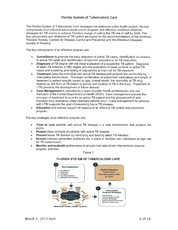The Florida System of Tuberculosis Care leverages the statewide public health system, the key components of an effective tuberculosis control program and effective, evidence-informed strategies for TB control to achieve Florida's charge of cutting the TB rate in half by 2020. The key components and strategies of TB control are based on the recommendations of the American Thoracic Society, Centers for Disease Control and Prevention and the Infectious Diseases Society of America.

The key components of an effective program are:

- **Surveillance** to promote the early detection of active TB cases, identification of contacts to active TB cases and identification of high-risk populations for TB evaluation.
- **Diagnosis** of TB begins with the initial evaluation of a suspected TB patient. Diagnosis of latent TB infection (LTBI) begins with the evaluation of close contacts to active TB cases and screening and testing of populations at high-risk for TB exposure.
- **Treatment** cures the individual with active TB disease and protects the community by interrupting transmission. The exact combination of prescribed medications and length of treatment is patient-specific based on age, overall health, the possibility of TB drug resistance, the form of TB (latent or active) and location of TB in the body. Treatment of LTBI prevents the development of future disease.
- Case Management is provided by a team of public health professionals who are members of the Florida Department of Health (DOH). Case management ensures the provision of treatment to cure for an active TB patient and the assessment of antimicrobial drug resistance when treatment failures occur. Case management for persons with LTBI supports the goal of preventing future TB disease.
- **Education** and training support all aspects of an effective TB control and prevention program.

The key strategies of an effective program are:

- Treat to cure patients with active TB disease in a safe environment that protects the public.
- Protect close contacts of patients with active TB disease.
- **Prevent** future TB disease by identifying and treating latent TB infection.
- **Ensure** infection prevention practices are in place in facilities with individuals at high risk for TB transmission.
- Monitor and evaluate performance to ensure that data-driven interventions improve program activities.

Figure 1

#### FLORIDA SYSTEM OF TUBERCULOSIS CARE

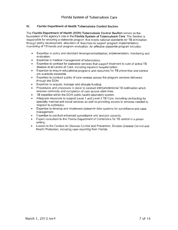## **IV. Florida Department of Health Tuberculosis Control Section**

The **Florida Department of Health (DOH) Tuberculosis Control Section** serves as the foundation of the agency's role in the **Florida System of Tuberculosis Care.** The Section is responsible for ensuring a statewide program that meets national standards for TB elimination through policy development, allocation of resources to support program implementation, monitoring of TB trends and program evaluation. An effective statewide program includes:

- Expertise in policy and standard development/adoption, implementation, monitoring and evaluation.
- Expertise in medical management of tuberculosis.
- Expertise to contract for statewide services that support treatment to cure of active TB disease at all Levels of Care, including inpatient hospitalization.
- Expertise to ensure educational programs and resources for TB prevention and control are available statewide.
- Expertise to conduct quality of care reviews across the program services delivered through the DOH.
- Expertise to acquire, manage and allocate funding.
- Procedures and processes in place to conduct interjurisdictional TB notification which ensures continuity and completion of care across state lines.
- TB expertise within the DOH public health laboratory system.
- Adequate resources to support Level 1 and Level 2 TB Care, including contracting for specialty medical and social services as well as providing access to services needed to respond to outbreaks.
- Expertise to develop and implement statewide data systems for surveillance and case management
- Expertise to conduct enhanced surveillance and analysis capacity.
- Expert consultant to the Florida Department of Corrections for TB control in a prison setting.
- Liaison to the Centers for Disease Control and Prevention, Division Disease Control and Health Protection, including case reporting from Florida.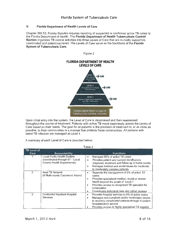## V. Florida Department of Health Levels of Care

Chapter 392.53, Florida Statutes requires reporting of suspected or confirmed active TB cases to the Florida Department of Health. The Florida Department of Health Tuberculosis Control Section organizes TB control activities into three Levels of Care that are mutually supportive. coordinated and patient-centered. The Levels of Care serve as the backbone of the Florida System of Tuberculosis Care.

Figure 2

**FLORIDA DEPARTMENT OF HEALTH LEVELS OF CARE**  LEVEL 3  $\rightarrow$  CURE **IFVEL 2** Florida Department of Health  $\rightarrow$  CURE LEVEL 1  $\rightarrow$  CURE Community-Based Care Provided Withir<br>Local Public Health System FLORIDA DEPARTMENT OF HEALTH TUBERCULOSIS CONTROL PROGRAM

Upon initial entry into the system, the Level of Care is determined and then reassessed throughout the course of treatment. Patients with active TB move seamlessly across the Levels of Care based on their needs. The goal for all patients is the provision of treatment in, or as close as possible, to their communities in a manner that protects those communities. All persons with latent TB infection are managed at Level 1.

A summary of each Level of Care is provided below:

| $1$ aviv $L$               |                                                                                             |                                                                                                                                                                                                                                                                                              |  |  |  |  |  |  |
|----------------------------|---------------------------------------------------------------------------------------------|----------------------------------------------------------------------------------------------------------------------------------------------------------------------------------------------------------------------------------------------------------------------------------------------|--|--|--|--|--|--|
| <b>TB Level of</b><br>Care | <b>Accountability</b>                                                                       | <b>Functions</b>                                                                                                                                                                                                                                                                             |  |  |  |  |  |  |
|                            | Local Public Health System<br>(coordinated through 67 - Local<br>County Health Departments) | Manages 90% of active TB cases<br>Provides patient and contact identification,<br>diagnosis, treatment and follow-up in home county<br>Manages medical and social issues for moderate<br>٠<br>to moderately complex patients                                                                 |  |  |  |  |  |  |
| 2                          | Area TB Network<br>(8 Multi-county Catchment Areas)                                         | Supports the management of 5% of active TB<br>٠<br>cases<br>Provides specialized medical, social or mental<br>$\bullet$<br>health beyond the scope of Level 1<br>Provides access to recognized TB specialist for<br>٠<br>consultation<br>Coordinates individual case and cohort reviews<br>٠ |  |  |  |  |  |  |
| 3                          | Contracted Inpatient Hospital<br>Services                                                   | Provides hospital services to 5% of active cases<br>٠<br>Manages non-compliant and/or moderately severe<br>to severely complicated patients through in-patient<br>hospitalization service<br>Provides access to highly specialized TB experts                                                |  |  |  |  |  |  |

Table 2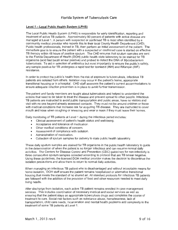## Level 1 - Local Public Health System (LPHS)

The Local Public Health System (LPHS) is responsible for early identification, reporting and treatment of active TB patients. Approximately 90 percent of patients with active disease are managed at Level 1. A person with suspected or confirmed TB is most often identified by a community medical provider who reports this to their local County Health Department (CHD). Public health professionals, trained in TB, then perform an initial assessment of the patient. The immediate goal is to ensure the patient with a suspected or confirmed case is started on effective TB therapy within 48 hours of positive sputum . The CHD ensures that sputum samples are sent to the Florida Department of Health (DOH) public health state laboratory to be stained for TB organisms (acid fast bacilli smear positive) and probed to detect the DNA of Mycobacterium tuberculosis. To aid in selection of antibiotics but most importantly to ensure the public's safety, any sample positive for TB undergoes a rapid test for Isoniazid (INH) and Rifampin (RIF) resistance.

In order to protect the public's health from the risk of exposure to tuberculosis, infectious TB patients are isolated from others. Isolation may occur in the patient's home, appropriate transitional housing or in a hospital. CHD staff assesses the patient's current accommodations to ensure adequate infection prevention is in place to avoid further transmission.

The patient and family members are taught about tuberculosis and helped to understand the actions that need to be taken to treat the disease and prevent spread to other people. Infectious TB patients are instructed to avoid public transportation and public areas, have no visitors and visit with no one beyond already assessed contacts. They must not be around children or those with medical conditions that increase risk for acquiring TB disease. They are instructed to cover mouth and nose when coughing or sneezing and wear a mask if they must leave their homes.

Daily monitoring of TB patients at Level 1 during the infectious period includes:

- Clinical assessment of patient's health status and well-being.
- Acceptance and tolerance of medication.
- Other medical conditions of concern.
- Assessment of compliance with isolation.
- Administration of medication.
- Collection of sputum samples for delivery to state public health laboratory.

These daily sputum samples are stained for TB organisms in the public health laboratory to guide in the determination of when the patient is no longer infectious and can resume normal daily activities. The Centers for Disease Control and Prevention (CDC) guidelines for non-infectivity is three consecutive sputum samples collected according to protocol that are TB smear negative. Using these guidelines, the licensed DOH medical provider makes the decision to discontinue the isolation precautions and allow them to return to normal daily activities.

When managing an infectious TB patient who is disadvantaged and without acceptable means for home isolation, DOH staff ensure the patient remains hospitalized or alternative transitional housing that meets the standard of no shared air. All standard protocols for infectious TB patients are followed with the addition of the provision of food and other resources needed to meet daily living needs.

After discharge from isolation, each active TB patient remains enrolled in case management services. This includes coordination of necessary medical and social services as well as ensuring that the patient stays on appropriate tuberculosis drugs and completes the course of treatment to cure. Social risk factors such as substance abuse, homelessness, lack of transportation, child care needs, incarceration and mental health problems add complexity to the treatment of some TB patients at Level 1.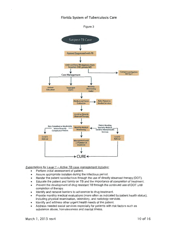

#### Expectations for Level 1 - Active TB case management includes:

- Perform initial assessment of patient.
- Assure appropriate isolation during the infectious period.
- Render the patient noninfectious through the use of directly observed therapy (DOT).
- Educate the patient and family on TB and the importance of completion of treatment.
- Prevent the development of drug resistant TB through the continued use of DOT until completion of therapy\_
- Identify and remove barriers to adherence to drug treatment.
- Provide monthly medical evaluations (more often as indicated by patient health status), including physical examination, laboratory, and radiology services.
- Identify and address other urgent health needs of the patient.
- Address needed social services especially for patients with risk factors such as substance abuse, homelessness and mental illness.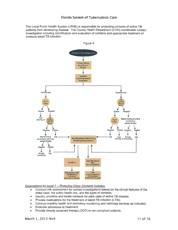The Local Public Health System (LPHS) is responsible for protecting contacts of active TB patients from developing disease. The County Health Department (CHD) coordinates contact investigation including identification and evaluation of contacts and appropriate treatment of contacts latent TB infection.



Expectations for Level 1 - Protecting Close Contacts includes:

- Conduct risk assessment for contact investigations based on the clinical features of the index case, the public health risk, and the types of contacts.
- Identify, prioritize and locate contacts for each case of active TB disease.
- Provide medications for the treatment of latent TB infection (LTBI).
- Conduct monthly health and laboratory monitoring and radiology services as indicated.
- Evaluate adherence to treatment.
- Provide directly observed therapy (DOT) to non-compliant patients.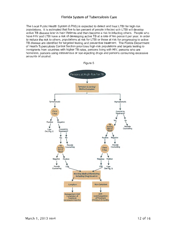The Local Public Health System (LPHS) is expected to detect and treat L TBI for high risk populations. It is estimated that five to ten percent of people infected with L TBI will develop active TB disease later in their lifetimes and then become a risk to infecting others. People who have HIV and LTBI have a risk of developing active TB at a rate of ten percent per year. In order to reduce the risk to others, populations at risk for LTBI or those at risk for progressing to active TB disease are identified for targeted testing and preventive treatment. The Florida Department of Health Tuberculosis Control Section prioritizes high-risk populations and targets testing to immigrants from countries with higher TB rates, persons living with HIV, persons who are homeless, persons using intravenous or non-injecting drugs and persons consuming excessive amounts of alcohol.

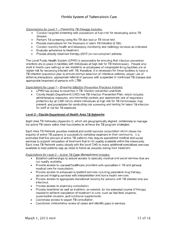## Expectations for Level  $1$  - Preventing TB Disease includes:

- Conduct targeted screening with populations at high-risk for developing active TB disease.
- Perform TB screening using the TB skin test or TB blood test.
- Provide medications for the treatment of latent TB infection (LTBI).
- Conduct monthly health and laboratory monitoring and radiology services as indicated.
- Evaluate adherence to treatment.
- Provide directly observed therapy (DOT) to non-compliant patients.

The Local Public Health System (LPHS) is responsible for ensuring that infection prevention practices are in place in facilities with individuals at high risk for TB transmission. People who work in health care settings or are residents or employees of congregate living facilities are at higher risk for becoming infected with TB; therefore, it is necessary for these facilities to have a TB infection prevention plan to ensure prompt detection of infectious patients, proper use of airborne precautions, appropriate referral of persons with suspected or confirmed TB disease and appropriate treatment of persons with LTBI.

### Expectations for Level 1 - Ensuring Infection Prevention Practices includes:

- LPHS has access to expertise in TB infection prevention practices.
- County Health Department (CHD) has TB Infection Prevention Plan, which includes administrative measures, environmental controls and appropriate use of respiratory protection for all CHD clinics where individuals at high risk for TB transmission may present; and procedures for conducting risk screening and testing for latent TB infection for staff at risk for TB exposure.

#### Level 2 - Florida Department of Health Area TB Networks

Eight Area TB Networks (Appendix 1), which are geographically aligned, collaborate to manage the active TB cases within their boundaries to achieve the TB program strategies.

Each Area TB Network provides medical and social services consultation which allows the majority of active TB patients to successfully complete treatment in their community. It is estimated that five percent of active TB patients may require specialized medical and social services to support completion of treatment that is not readily available within the community. Each Area TB Network works closely with the local CHD to make additional specialized services available to help patients stay as close to home as possible during their treatment.

#### Expectations for Level 2 - Active TB Case Management includes:

- Establish partnerships to assure access to specialty medical and social services that are not readily available.
- Provide access to licensed healthcare providers with specialties in TB and general medical care for consultation.
- Provide access to enhanced outpatient services including parenteral drug therapy, advanced imaging services with interpretation and home health services.
- Provide access to appropriate transitional housing for persons with TB disease who are infectious.
- Provide access to pharmacy consultation.
- Provide incentives as well as enablers, as needed, for the extended course of therapy needed to achieve completion of treatment to cure, such as fast food coupons, supermarket coupons, and nutritional supplements.
- Coordinate access to expert TB consultation.
- Coordinate collaborative review of cases and identify gaps in services.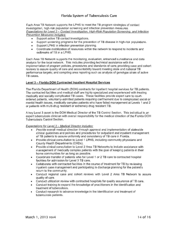Each Area TB Network supports the LPHS to meet the TB program strategies of contact investigation, high-risk population screening and infection prevention measures. Expectations for Level *2-* Contact Investigation, High-Risk Population Screening. and Infection Prevention Measures includes:

- Support active TB contact investigations.
- Support screening programs for the prevention of TB disease in high-risk populations.
- Support LPHS in infection prevention planning.
- Coordinate mobilization of resources within the network to respond to incidents and outbreaks of TB in a LPHS.

Each Area TB Network supports the monitoring, evaluation, enhanced surveillance and data analysis for the local network. This includes providing technical assistance with the implementation of program policies, procedures and standards of care; providing case and cohort reviews to assure quality of care and accountability toward meeting state and national TB performance targets; and compiling area reporting such as analysis of genotype strain of active TB cases.

### **Level 3- Florida DOH Contracted Inpatient Hospital Services**

The Florida Department of Health (DOH) contracts for inpatient hospital services for **TB** patients. The contracted facilities and medical staff are highly specialized and experienced with treating medically and socially complicated TB cases. These facilities provide expert care to courtordered patients, voluntarily-admitted patients requiring confinement due to complicated social or mental health issues, medically complex patients who have failed management at Levels 1 and 2 or patients with multi-drug resistant or extremely drug resistant TB.

A key Level 3 asset is the DOH Medical Director of the TB Control Section. This individual is an expert tuberculosis clinician with overall responsibility for the medical direction of the Florida DOH Tuberculosis Control Section.

#### Expectations for Level *3-* Medical Director includes:

- Provide overall medical direction through approval and implementation of statewide clinical guidelines and policies and procedures for outpatient and inpatient management of TB patients to assure uniformity and consistency of TB care in Florida.
- Provide clinical consultation to Level 1 LPHS, including community physicians and County Health Departments (CHDs).
- Provide clinical consultation to Level 2 Area TB Networks to include assistance with management of medically complex patients with the goal of keeping patients in their home communities for as long as possible.
- Coordinate transfer of patients who fail Level 1 or 2 TB care to contracted hospital facilities for admission for Level 3 TB care.
- Collaborate with contracted facilities in the course of treatment for TB by reviewing inpatient case management and participating in discharge planning for the patient's return to the community.
- Conduct regional case and cohort reviews with Level 2 Area TB Network to assure quality of care.
- Conduct utilization review with contracted hospitals for quality assurance of TB care.
- Conduct training to expand the knowledge of practitioners in the identification and treatment of tuberculosis.
- Conduct research to advance knowledge in the identification and treatment of tuberculosis patients.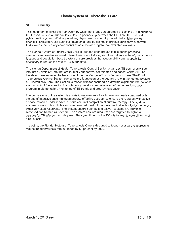## **VI. Summary**

This document outlines the framework by which the Florida Department of Health (DOH) supports the Florida System of Tuberculosis Care, a partnership between the DOH and the statewide public health system . Working together, physicians, community based clinics, laboratories, hospitals, social services agencies, academia, and public health professionals form a network that assures the five key components of an effective program are available statewide.

The Florida System of Tuberculosis Care is founded upon proven public health practices, standards and evidence-based tuberculosis control strategies. This patient-centered, communityfocused and population-based system of care provides the accountability and adaptability necessary to reduce the rate of TB in our state.

The Florida Department of Health Tuberculosis Control Section organizes TB control activities into three Levels of Care that are mutually supportive, coordinated and patient-centered. The Levels of Care serve as the backbone of the Florida System of Tuberculosis Care. The DOH Tuberculosis Control Section serves as the foundation of the agency's role in the Florida System of Tuberculosis Care. The Section is responsible for ensuring a statewide alignment with national standards for TB elimination through policy development, allocation of resources to support program implementation, monitoring of TB trends and program evaluation

The cornerstone of the system is a holistic assessment of each person's needs combined with the use of intensive case management and effective outreach to ensure every patient with active disease remains under medical supervision until completion of curative therapy. The system ensures access to hospitalization when needed; best utilizes new medical technologies and most effectively uses resources. The system ensures contacts to active TB cases are identified, screened and treated as needed. The system ensures resources are targeted to high-risk persons for TB infection and disease. The commitment of the DOH is to treat to cure all forms of tuberculosis.

In closing, the Florida System of Tuberculosis Care is designed to focus necessary resources to reduce the tuberculosis rate in Florida by 50 percent by 2020.